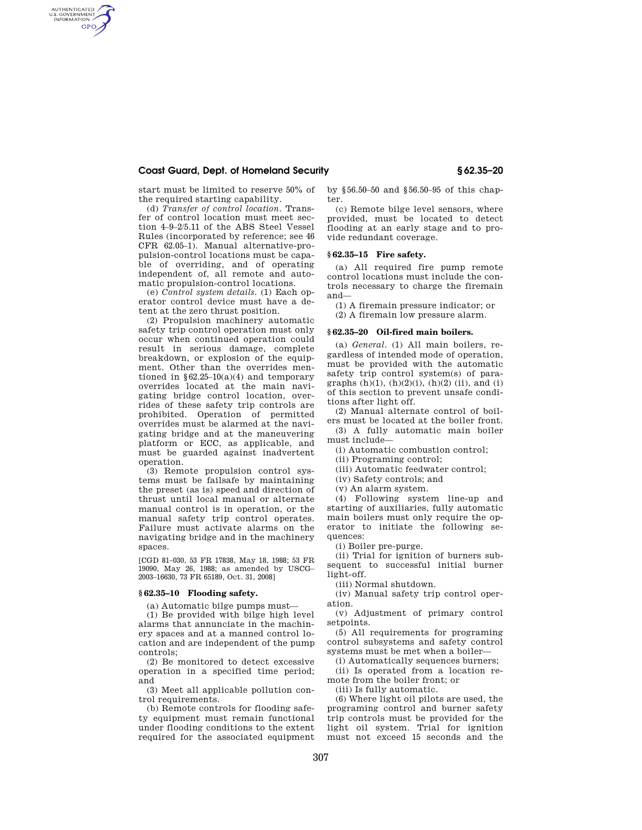# **Coast Guard, Dept. of Homeland Security § 62.35–20**

start must be limited to reserve 50% of the required starting capability.

AUTHENTICATED<br>U.S. GOVERNMENT<br>INFORMATION **GPO** 

> (d) *Transfer of control location*. Transfer of control location must meet section 4–9–2/5.11 of the ABS Steel Vessel Rules (incorporated by reference; see 46 CFR 62.05–1). Manual alternative-propulsion-control locations must be capable of overriding, and of operating independent of, all remote and automatic propulsion-control locations.

> (e) *Control system details.* (1) Each operator control device must have a detent at the zero thrust position.

(2) Propulsion machinery automatic safety trip control operation must only occur when continued operation could result in serious damage, complete breakdown, or explosion of the equipment. Other than the overrides mentioned in  $§62.25-10(a)(4)$  and temporary overrides located at the main navigating bridge control location, overrides of these safety trip controls are prohibited. Operation of permitted overrides must be alarmed at the navigating bridge and at the maneuvering platform or ECC, as applicable, and must be guarded against inadvertent operation.

(3) Remote propulsion control systems must be failsafe by maintaining the preset (as is) speed and direction of thrust until local manual or alternate manual control is in operation, or the manual safety trip control operates. Failure must activate alarms on the navigating bridge and in the machinery spaces.

[CGD 81–030, 53 FR 17838, May 18, 1988; 53 FR 19090, May 26, 1988; as amended by USCG– 2003–16630, 73 FR 65189, Oct. 31, 2008]

### **§ 62.35–10 Flooding safety.**

(a) Automatic bilge pumps must—

(1) Be provided with bilge high level alarms that annunciate in the machinery spaces and at a manned control location and are independent of the pump controls;

(2) Be monitored to detect excessive operation in a specified time period; and

(3) Meet all applicable pollution control requirements.

(b) Remote controls for flooding safety equipment must remain functional under flooding conditions to the extent required for the associated equipment by §56.50–50 and §56.50–95 of this chapter.

(c) Remote bilge level sensors, where provided, must be located to detect flooding at an early stage and to provide redundant coverage.

# **§ 62.35–15 Fire safety.**

(a) All required fire pump remote control locations must include the controls necessary to charge the firemain and—

(1) A firemain pressure indicator; or

(2) A firemain low pressure alarm.

### **§ 62.35–20 Oil-fired main boilers.**

(a) *General.* (1) All main boilers, regardless of intended mode of operation, must be provided with the automatic safety trip control system(s) of paragraphs  $(h)(1)$ ,  $(h)(2)(i)$ ,  $(h)(2)$   $(ii)$ , and  $(i)$ of this section to prevent unsafe conditions after light off.

(2) Manual alternate control of boilers must be located at the boiler front.

(3) A fully automatic main boiler must include—

(i) Automatic combustion control;

(ii) Programing control;

(iii) Automatic feedwater control;

(iv) Safety controls; and

(v) An alarm system.

(4) Following system line-up and starting of auxiliaries, fully automatic main boilers must only require the operator to initiate the following sequences:

(i) Boiler pre-purge.

(ii) Trial for ignition of burners subsequent to successful initial burner light-off.

(iii) Normal shutdown.

(iv) Manual safety trip control operation.

(v) Adjustment of primary control setpoints.

(5) All requirements for programing control subsystems and safety control systems must be met when a boiler—

(i) Automatically sequences burners;

(ii) Is operated from a location remote from the boiler front; or

(iii) Is fully automatic.

(6) Where light oil pilots are used, the programing control and burner safety trip controls must be provided for the light oil system. Trial for ignition must not exceed 15 seconds and the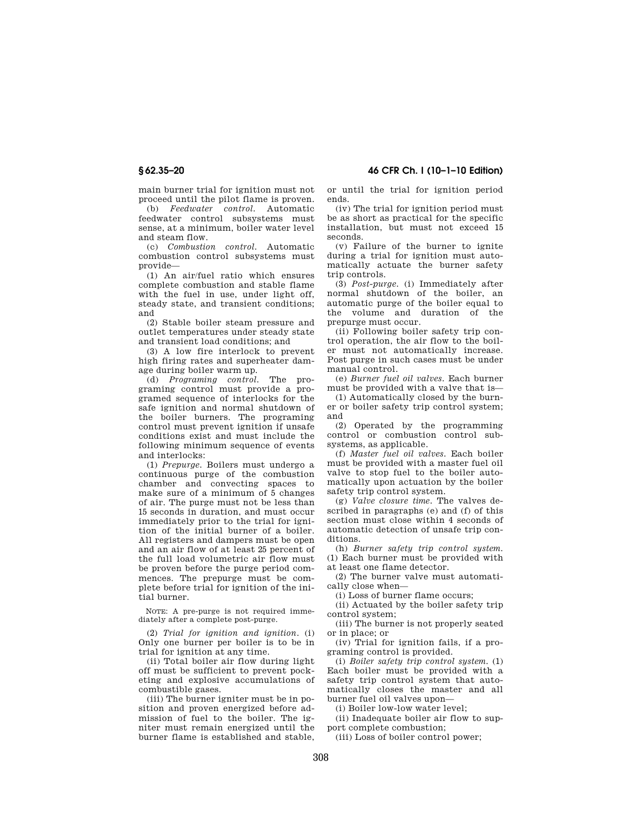main burner trial for ignition must not proceed until the pilot flame is proven.

(b) *Feedwater control.* Automatic feedwater control subsystems must sense, at a minimum, boiler water level and steam flow.

(c) *Combustion control.* Automatic combustion control subsystems must provide—

(1) An air/fuel ratio which ensures complete combustion and stable flame with the fuel in use, under light off. steady state, and transient conditions; and

(2) Stable boiler steam pressure and outlet temperatures under steady state and transient load conditions; and

(3) A low fire interlock to prevent high firing rates and superheater damage during boiler warm up.

(d) *Programing control.* The programing control must provide a programed sequence of interlocks for the safe ignition and normal shutdown of the boiler burners. The programing control must prevent ignition if unsafe conditions exist and must include the following minimum sequence of events and interlocks:

(1) *Prepurge.* Boilers must undergo a continuous purge of the combustion chamber and convecting spaces to make sure of a minimum of 5 changes of air. The purge must not be less than 15 seconds in duration, and must occur immediately prior to the trial for ignition of the initial burner of a boiler. All registers and dampers must be open and an air flow of at least 25 percent of the full load volumetric air flow must be proven before the purge period commences. The prepurge must be complete before trial for ignition of the initial burner.

NOTE: A pre-purge is not required immediately after a complete post-purge.

(2) *Trial for ignition and ignition.* (i) Only one burner per boiler is to be in trial for ignition at any time.

(ii) Total boiler air flow during light off must be sufficient to prevent pocketing and explosive accumulations of combustible gases.

(iii) The burner igniter must be in position and proven energized before admission of fuel to the boiler. The igniter must remain energized until the burner flame is established and stable, or until the trial for ignition period ends.

(iv) The trial for ignition period must be as short as practical for the specific installation, but must not exceed 15 seconds.

(v) Failure of the burner to ignite during a trial for ignition must automatically actuate the burner safety trip controls.

(3) *Post-purge.* (i) Immediately after normal shutdown of the boiler, an automatic purge of the boiler equal to the volume and duration of the prepurge must occur.

(ii) Following boiler safety trip control operation, the air flow to the boiler must not automatically increase. Post purge in such cases must be under manual control.

(e) *Burner fuel oil valves.* Each burner must be provided with a valve that is—

(1) Automatically closed by the burner or boiler safety trip control system; and

(2) Operated by the programming control or combustion control subsystems, as applicable.

(f) *Master fuel oil valves.* Each boiler must be provided with a master fuel oil valve to stop fuel to the boiler automatically upon actuation by the boiler safety trip control system.

(g) *Valve closure time.* The valves described in paragraphs (e) and (f) of this section must close within 4 seconds of automatic detection of unsafe trip conditions.

(h) *Burner safety trip control system.*  (1) Each burner must be provided with at least one flame detector.

(2) The burner valve must automatically close when—

(i) Loss of burner flame occurs;

(ii) Actuated by the boiler safety trip control system;

(iii) The burner is not properly seated or in place; or

(iv) Trial for ignition fails, if a programing control is provided.

(i) *Boiler safety trip control system.* (1) Each boiler must be provided with a safety trip control system that automatically closes the master and all burner fuel oil valves upon—

(i) Boiler low-low water level;

(ii) Inadequate boiler air flow to support complete combustion;

(iii) Loss of boiler control power;